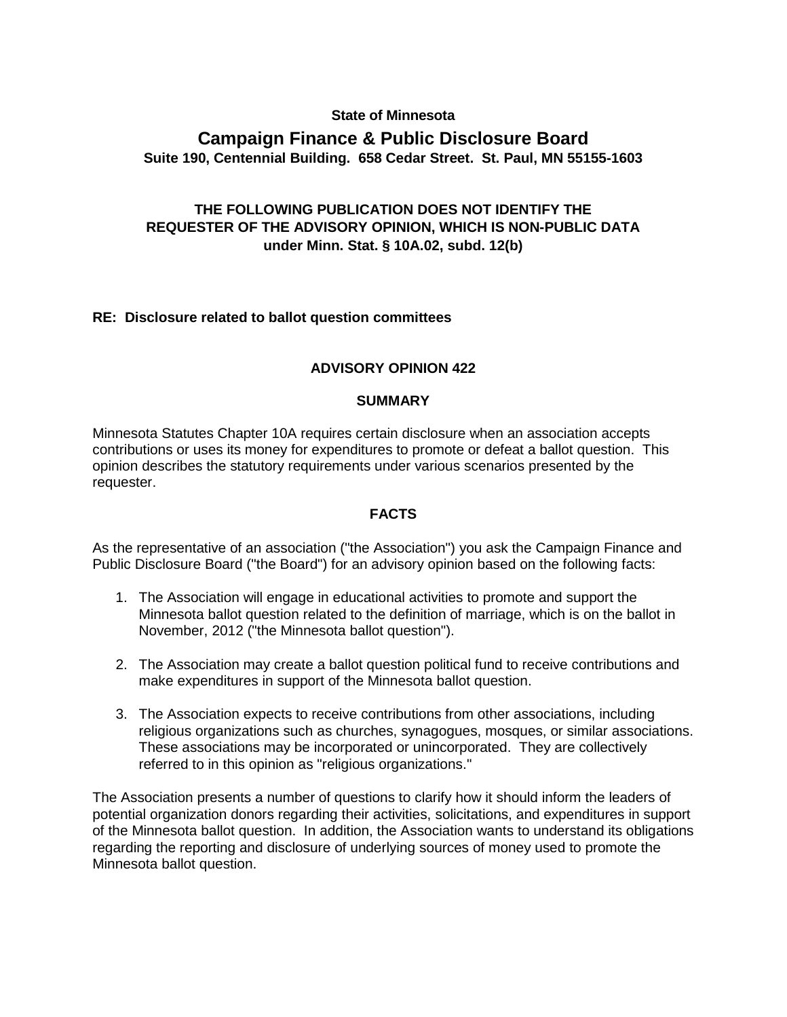#### **State of Minnesota**

# **Campaign Finance & Public Disclosure Board Suite 190, Centennial Building. 658 Cedar Street. St. Paul, MN 55155-1603**

## **THE FOLLOWING PUBLICATION DOES NOT IDENTIFY THE REQUESTER OF THE ADVISORY OPINION, WHICH IS NON-PUBLIC DATA under Minn. Stat. § 10A.02, subd. 12(b)**

### **RE: Disclosure related to ballot question committees**

### **ADVISORY OPINION 422**

#### **SUMMARY**

Minnesota Statutes Chapter 10A requires certain disclosure when an association accepts contributions or uses its money for expenditures to promote or defeat a ballot question. This opinion describes the statutory requirements under various scenarios presented by the requester.

#### **FACTS**

As the representative of an association ("the Association") you ask the Campaign Finance and Public Disclosure Board ("the Board") for an advisory opinion based on the following facts:

- 1. The Association will engage in educational activities to promote and support the Minnesota ballot question related to the definition of marriage, which is on the ballot in November, 2012 ("the Minnesota ballot question").
- 2. The Association may create a ballot question political fund to receive contributions and make expenditures in support of the Minnesota ballot question.
- 3. The Association expects to receive contributions from other associations, including religious organizations such as churches, synagogues, mosques, or similar associations. These associations may be incorporated or unincorporated. They are collectively referred to in this opinion as "religious organizations."

The Association presents a number of questions to clarify how it should inform the leaders of potential organization donors regarding their activities, solicitations, and expenditures in support of the Minnesota ballot question. In addition, the Association wants to understand its obligations regarding the reporting and disclosure of underlying sources of money used to promote the Minnesota ballot question.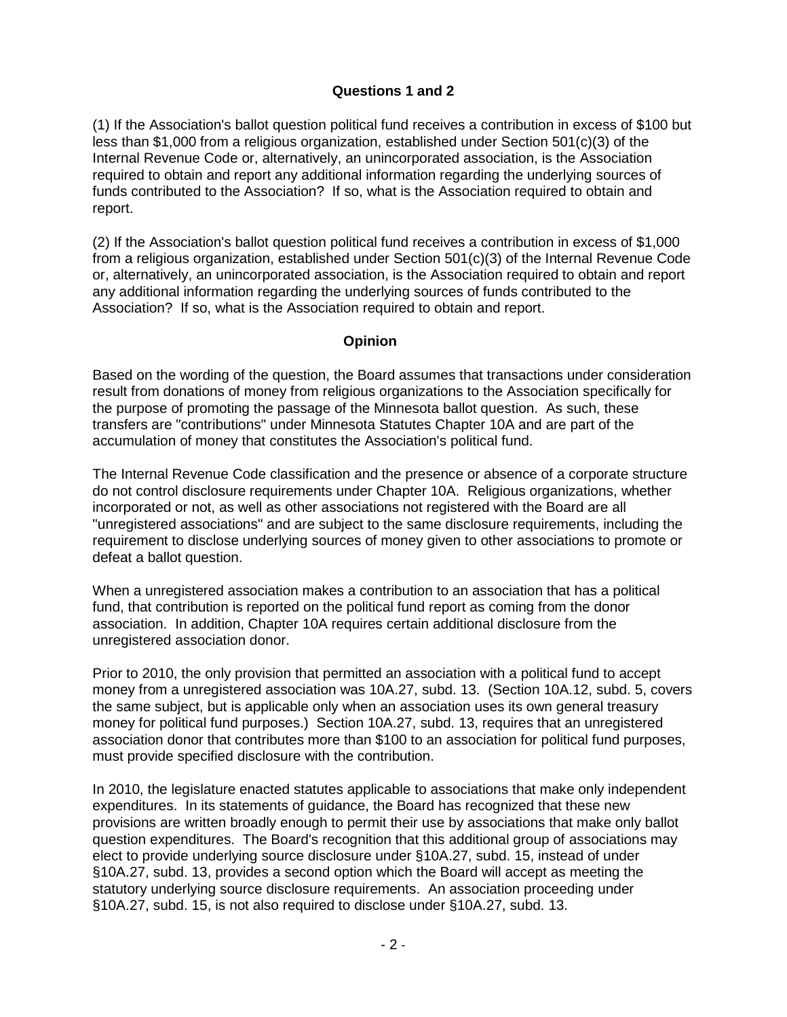## **Questions 1 and 2**

(1) If the Association's ballot question political fund receives a contribution in excess of \$100 but less than \$1,000 from a religious organization, established under Section 501(c)(3) of the Internal Revenue Code or, alternatively, an unincorporated association, is the Association required to obtain and report any additional information regarding the underlying sources of funds contributed to the Association? If so, what is the Association required to obtain and report.

(2) If the Association's ballot question political fund receives a contribution in excess of \$1,000 from a religious organization, established under Section 501(c)(3) of the Internal Revenue Code or, alternatively, an unincorporated association, is the Association required to obtain and report any additional information regarding the underlying sources of funds contributed to the Association? If so, what is the Association required to obtain and report.

### **Opinion**

Based on the wording of the question, the Board assumes that transactions under consideration result from donations of money from religious organizations to the Association specifically for the purpose of promoting the passage of the Minnesota ballot question. As such, these transfers are "contributions" under Minnesota Statutes Chapter 10A and are part of the accumulation of money that constitutes the Association's political fund.

The Internal Revenue Code classification and the presence or absence of a corporate structure do not control disclosure requirements under Chapter 10A. Religious organizations, whether incorporated or not, as well as other associations not registered with the Board are all "unregistered associations" and are subject to the same disclosure requirements, including the requirement to disclose underlying sources of money given to other associations to promote or defeat a ballot question.

When a unregistered association makes a contribution to an association that has a political fund, that contribution is reported on the political fund report as coming from the donor association. In addition, Chapter 10A requires certain additional disclosure from the unregistered association donor.

Prior to 2010, the only provision that permitted an association with a political fund to accept money from a unregistered association was 10A.27, subd. 13. (Section 10A.12, subd. 5, covers the same subject, but is applicable only when an association uses its own general treasury money for political fund purposes.) Section 10A.27, subd. 13, requires that an unregistered association donor that contributes more than \$100 to an association for political fund purposes, must provide specified disclosure with the contribution.

In 2010, the legislature enacted statutes applicable to associations that make only independent expenditures. In its statements of guidance, the Board has recognized that these new provisions are written broadly enough to permit their use by associations that make only ballot question expenditures. The Board's recognition that this additional group of associations may elect to provide underlying source disclosure under §10A.27, subd. 15, instead of under §10A.27, subd. 13, provides a second option which the Board will accept as meeting the statutory underlying source disclosure requirements. An association proceeding under §10A.27, subd. 15, is not also required to disclose under §10A.27, subd. 13.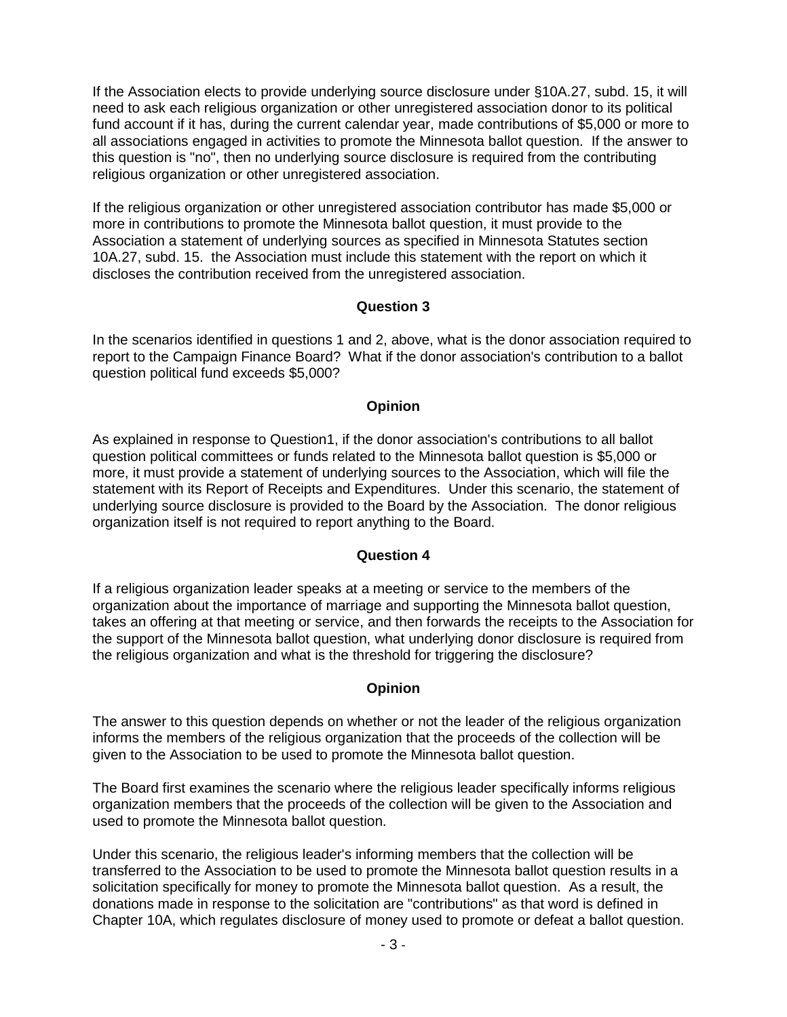If the Association elects to provide underlying source disclosure under §10A.27, subd. 15, it will need to ask each religious organization or other unregistered association donor to its political fund account if it has, during the current calendar year, made contributions of \$5,000 or more to all associations engaged in activities to promote the Minnesota ballot question. If the answer to this question is "no", then no underlying source disclosure is required from the contributing religious organization or other unregistered association.

If the religious organization or other unregistered association contributor has made \$5,000 or more in contributions to promote the Minnesota ballot question, it must provide to the Association a statement of underlying sources as specified in Minnesota Statutes section 10A.27, subd. 15. the Association must include this statement with the report on which it discloses the contribution received from the unregistered association.

## **Question 3**

In the scenarios identified in questions 1 and 2, above, what is the donor association required to report to the Campaign Finance Board? What if the donor association's contribution to a ballot question political fund exceeds \$5,000?

## **Opinion**

As explained in response to Question1, if the donor association's contributions to all ballot question political committees or funds related to the Minnesota ballot question is \$5,000 or more, it must provide a statement of underlying sources to the Association, which will file the statement with its Report of Receipts and Expenditures. Under this scenario, the statement of underlying source disclosure is provided to the Board by the Association. The donor religious organization itself is not required to report anything to the Board.

### **Question 4**

If a religious organization leader speaks at a meeting or service to the members of the organization about the importance of marriage and supporting the Minnesota ballot question, takes an offering at that meeting or service, and then forwards the receipts to the Association for the support of the Minnesota ballot question, what underlying donor disclosure is required from the religious organization and what is the threshold for triggering the disclosure?

### **Opinion**

The answer to this question depends on whether or not the leader of the religious organization informs the members of the religious organization that the proceeds of the collection will be given to the Association to be used to promote the Minnesota ballot question.

The Board first examines the scenario where the religious leader specifically informs religious organization members that the proceeds of the collection will be given to the Association and used to promote the Minnesota ballot question.

Under this scenario, the religious leader's informing members that the collection will be transferred to the Association to be used to promote the Minnesota ballot question results in a solicitation specifically for money to promote the Minnesota ballot question. As a result, the donations made in response to the solicitation are "contributions" as that word is defined in Chapter 10A, which regulates disclosure of money used to promote or defeat a ballot question.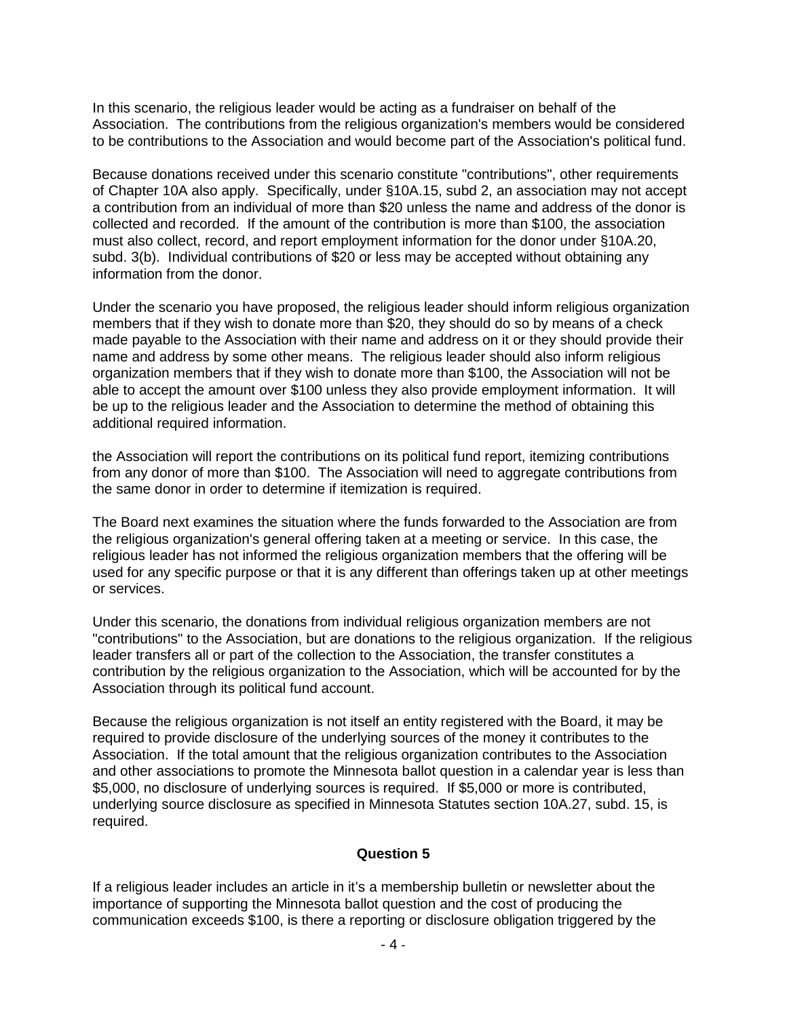In this scenario, the religious leader would be acting as a fundraiser on behalf of the Association. The contributions from the religious organization's members would be considered to be contributions to the Association and would become part of the Association's political fund.

Because donations received under this scenario constitute "contributions", other requirements of Chapter 10A also apply. Specifically, under §10A.15, subd 2, an association may not accept a contribution from an individual of more than \$20 unless the name and address of the donor is collected and recorded. If the amount of the contribution is more than \$100, the association must also collect, record, and report employment information for the donor under §10A.20, subd. 3(b). Individual contributions of \$20 or less may be accepted without obtaining any information from the donor.

Under the scenario you have proposed, the religious leader should inform religious organization members that if they wish to donate more than \$20, they should do so by means of a check made payable to the Association with their name and address on it or they should provide their name and address by some other means. The religious leader should also inform religious organization members that if they wish to donate more than \$100, the Association will not be able to accept the amount over \$100 unless they also provide employment information. It will be up to the religious leader and the Association to determine the method of obtaining this additional required information.

the Association will report the contributions on its political fund report, itemizing contributions from any donor of more than \$100. The Association will need to aggregate contributions from the same donor in order to determine if itemization is required.

The Board next examines the situation where the funds forwarded to the Association are from the religious organization's general offering taken at a meeting or service. In this case, the religious leader has not informed the religious organization members that the offering will be used for any specific purpose or that it is any different than offerings taken up at other meetings or services.

Under this scenario, the donations from individual religious organization members are not "contributions" to the Association, but are donations to the religious organization. If the religious leader transfers all or part of the collection to the Association, the transfer constitutes a contribution by the religious organization to the Association, which will be accounted for by the Association through its political fund account.

Because the religious organization is not itself an entity registered with the Board, it may be required to provide disclosure of the underlying sources of the money it contributes to the Association. If the total amount that the religious organization contributes to the Association and other associations to promote the Minnesota ballot question in a calendar year is less than \$5,000, no disclosure of underlying sources is required. If \$5,000 or more is contributed, underlying source disclosure as specified in Minnesota Statutes section 10A.27, subd. 15, is required.

### **Question 5**

If a religious leader includes an article in it's a membership bulletin or newsletter about the importance of supporting the Minnesota ballot question and the cost of producing the communication exceeds \$100, is there a reporting or disclosure obligation triggered by the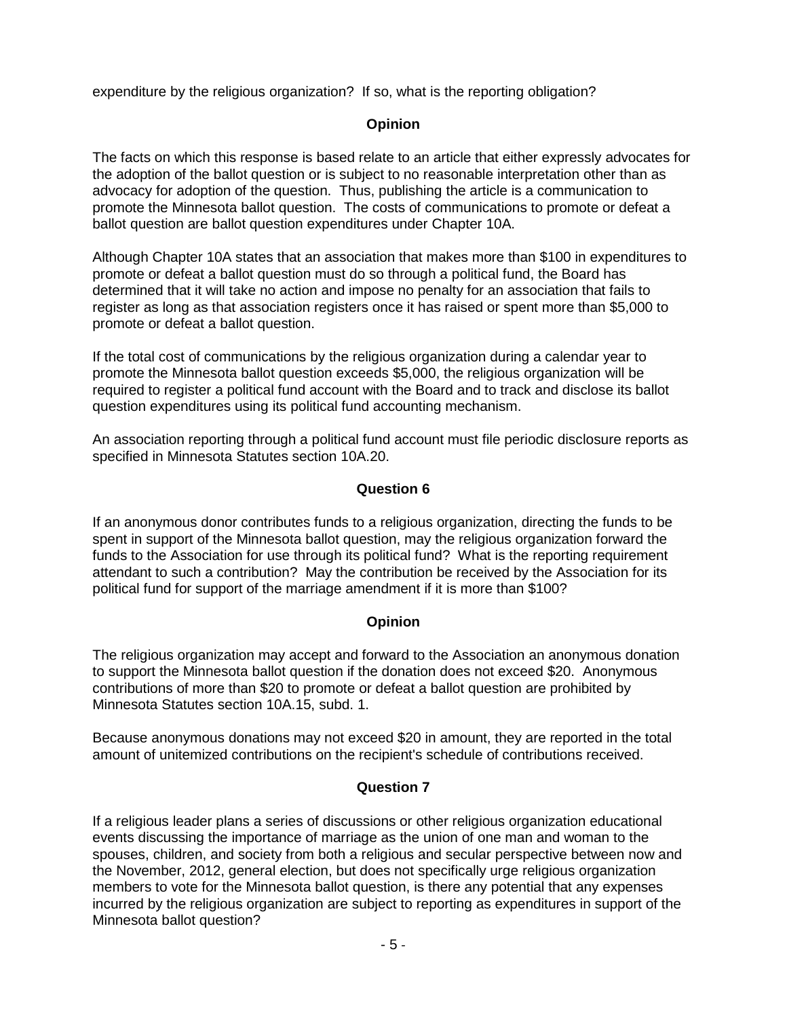expenditure by the religious organization? If so, what is the reporting obligation?

## **Opinion**

The facts on which this response is based relate to an article that either expressly advocates for the adoption of the ballot question or is subject to no reasonable interpretation other than as advocacy for adoption of the question. Thus, publishing the article is a communication to promote the Minnesota ballot question. The costs of communications to promote or defeat a ballot question are ballot question expenditures under Chapter 10A.

Although Chapter 10A states that an association that makes more than \$100 in expenditures to promote or defeat a ballot question must do so through a political fund, the Board has determined that it will take no action and impose no penalty for an association that fails to register as long as that association registers once it has raised or spent more than \$5,000 to promote or defeat a ballot question.

If the total cost of communications by the religious organization during a calendar year to promote the Minnesota ballot question exceeds \$5,000, the religious organization will be required to register a political fund account with the Board and to track and disclose its ballot question expenditures using its political fund accounting mechanism.

An association reporting through a political fund account must file periodic disclosure reports as specified in Minnesota Statutes section 10A.20.

### **Question 6**

If an anonymous donor contributes funds to a religious organization, directing the funds to be spent in support of the Minnesota ballot question, may the religious organization forward the funds to the Association for use through its political fund? What is the reporting requirement attendant to such a contribution? May the contribution be received by the Association for its political fund for support of the marriage amendment if it is more than \$100?

### **Opinion**

The religious organization may accept and forward to the Association an anonymous donation to support the Minnesota ballot question if the donation does not exceed \$20. Anonymous contributions of more than \$20 to promote or defeat a ballot question are prohibited by Minnesota Statutes section 10A.15, subd. 1.

Because anonymous donations may not exceed \$20 in amount, they are reported in the total amount of unitemized contributions on the recipient's schedule of contributions received.

### **Question 7**

If a religious leader plans a series of discussions or other religious organization educational events discussing the importance of marriage as the union of one man and woman to the spouses, children, and society from both a religious and secular perspective between now and the November, 2012, general election, but does not specifically urge religious organization members to vote for the Minnesota ballot question, is there any potential that any expenses incurred by the religious organization are subject to reporting as expenditures in support of the Minnesota ballot question?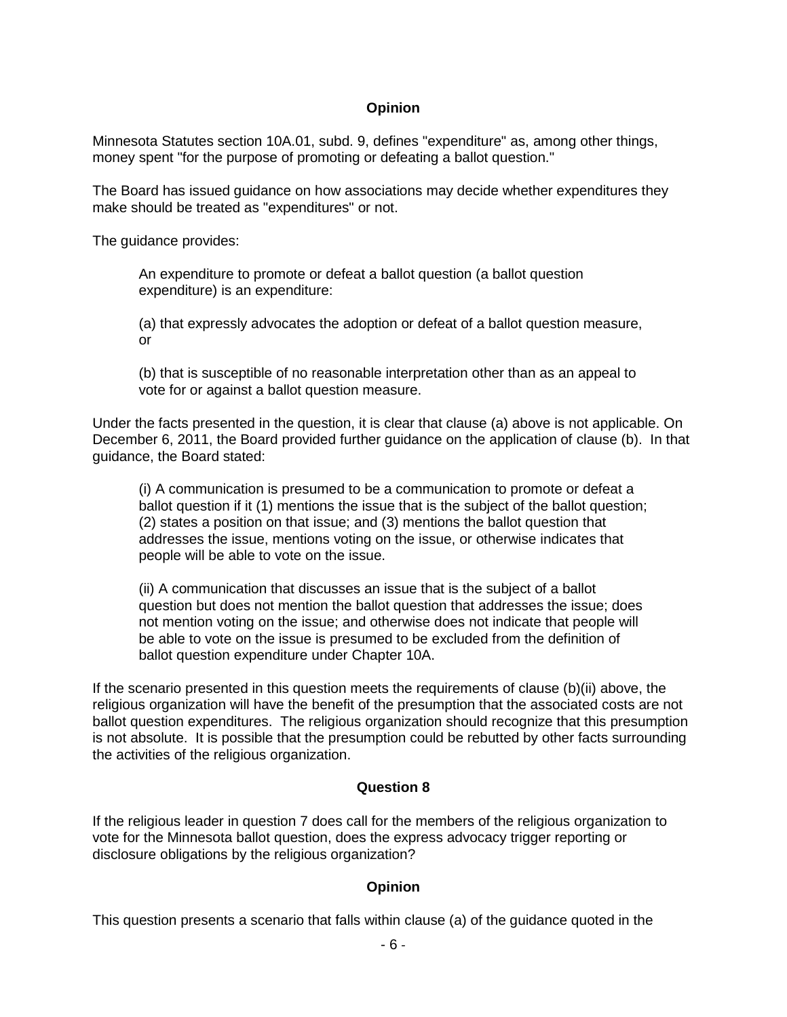### **Opinion**

Minnesota Statutes section 10A.01, subd. 9, defines "expenditure" as, among other things, money spent "for the purpose of promoting or defeating a ballot question."

The Board has issued guidance on how associations may decide whether expenditures they make should be treated as "expenditures" or not.

The guidance provides:

An expenditure to promote or defeat a ballot question (a ballot question expenditure) is an expenditure:

(a) that expressly advocates the adoption or defeat of a ballot question measure, or

(b) that is susceptible of no reasonable interpretation other than as an appeal to vote for or against a ballot question measure.

Under the facts presented in the question, it is clear that clause (a) above is not applicable. On December 6, 2011, the Board provided further guidance on the application of clause (b). In that guidance, the Board stated:

(i) A communication is presumed to be a communication to promote or defeat a ballot question if it (1) mentions the issue that is the subject of the ballot question; (2) states a position on that issue; and (3) mentions the ballot question that addresses the issue, mentions voting on the issue, or otherwise indicates that people will be able to vote on the issue.

(ii) A communication that discusses an issue that is the subject of a ballot question but does not mention the ballot question that addresses the issue; does not mention voting on the issue; and otherwise does not indicate that people will be able to vote on the issue is presumed to be excluded from the definition of ballot question expenditure under Chapter 10A.

If the scenario presented in this question meets the requirements of clause (b)(ii) above, the religious organization will have the benefit of the presumption that the associated costs are not ballot question expenditures. The religious organization should recognize that this presumption is not absolute. It is possible that the presumption could be rebutted by other facts surrounding the activities of the religious organization.

### **Question 8**

If the religious leader in question 7 does call for the members of the religious organization to vote for the Minnesota ballot question, does the express advocacy trigger reporting or disclosure obligations by the religious organization?

### **Opinion**

This question presents a scenario that falls within clause (a) of the guidance quoted in the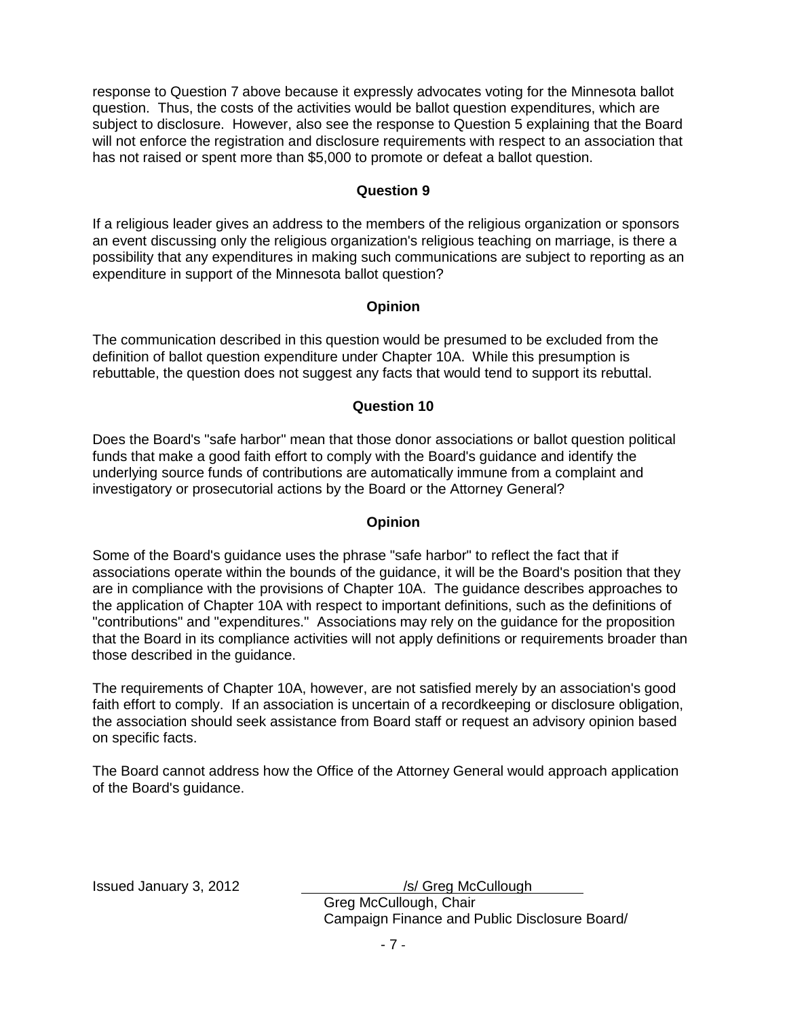response to Question 7 above because it expressly advocates voting for the Minnesota ballot question. Thus, the costs of the activities would be ballot question expenditures, which are subject to disclosure. However, also see the response to Question 5 explaining that the Board will not enforce the registration and disclosure requirements with respect to an association that has not raised or spent more than \$5,000 to promote or defeat a ballot question.

#### **Question 9**

If a religious leader gives an address to the members of the religious organization or sponsors an event discussing only the religious organization's religious teaching on marriage, is there a possibility that any expenditures in making such communications are subject to reporting as an expenditure in support of the Minnesota ballot question?

### **Opinion**

The communication described in this question would be presumed to be excluded from the definition of ballot question expenditure under Chapter 10A. While this presumption is rebuttable, the question does not suggest any facts that would tend to support its rebuttal.

#### **Question 10**

Does the Board's "safe harbor" mean that those donor associations or ballot question political funds that make a good faith effort to comply with the Board's guidance and identify the underlying source funds of contributions are automatically immune from a complaint and investigatory or prosecutorial actions by the Board or the Attorney General?

### **Opinion**

Some of the Board's guidance uses the phrase "safe harbor" to reflect the fact that if associations operate within the bounds of the guidance, it will be the Board's position that they are in compliance with the provisions of Chapter 10A. The guidance describes approaches to the application of Chapter 10A with respect to important definitions, such as the definitions of "contributions" and "expenditures." Associations may rely on the guidance for the proposition that the Board in its compliance activities will not apply definitions or requirements broader than those described in the guidance.

The requirements of Chapter 10A, however, are not satisfied merely by an association's good faith effort to comply. If an association is uncertain of a recordkeeping or disclosure obligation, the association should seek assistance from Board staff or request an advisory opinion based on specific facts.

The Board cannot address how the Office of the Attorney General would approach application of the Board's guidance.

Issued January 3, 2012 */s/ Greg McCullough* Greg McCullough, Chair

Campaign Finance and Public Disclosure Board/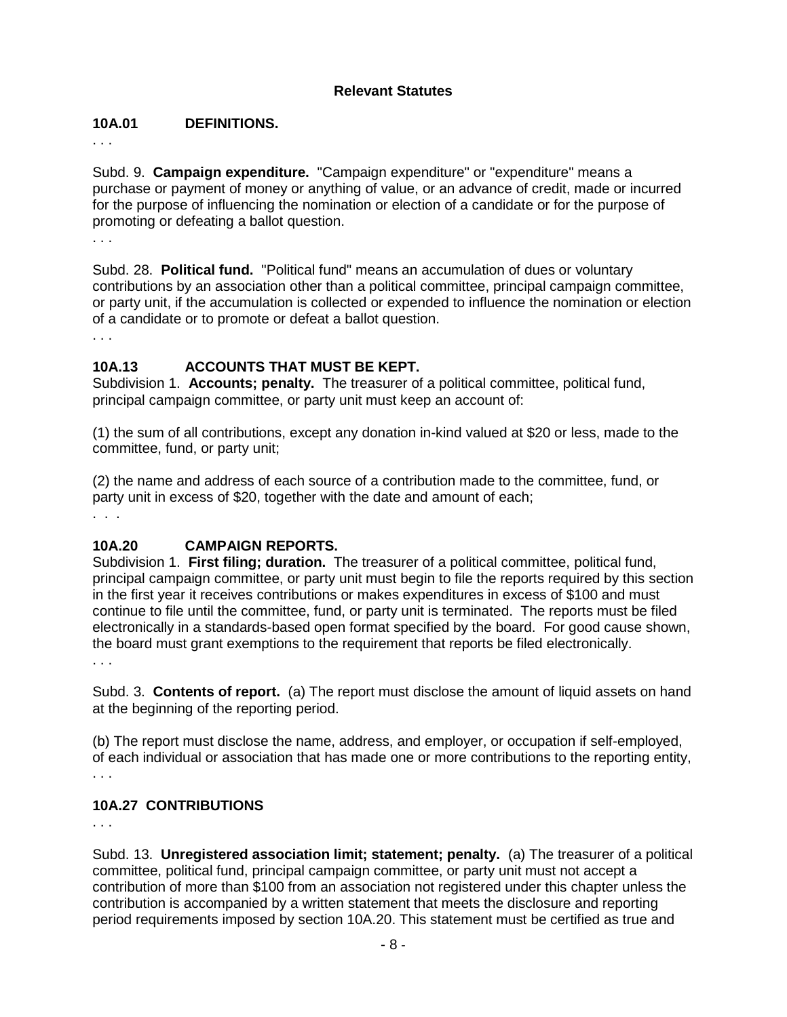### **Relevant Statutes**

### **10A.01 DEFINITIONS.**

. . .

Subd. 9. **Campaign expenditure.** "Campaign expenditure" or "expenditure" means a purchase or payment of money or anything of value, or an advance of credit, made or incurred for the purpose of influencing the nomination or election of a candidate or for the purpose of promoting or defeating a ballot question.

. . .

Subd. 28. **Political fund.** "Political fund" means an accumulation of dues or voluntary contributions by an association other than a political committee, principal campaign committee, or party unit, if the accumulation is collected or expended to influence the nomination or election of a candidate or to promote or defeat a ballot question.

. . .

### **10A.13 ACCOUNTS THAT MUST BE KEPT.**

Subdivision 1. **Accounts; penalty.** The treasurer of a political committee, political fund, principal campaign committee, or party unit must keep an account of:

(1) the sum of all contributions, except any donation in-kind valued at \$20 or less, made to the committee, fund, or party unit;

(2) the name and address of each source of a contribution made to the committee, fund, or party unit in excess of \$20, together with the date and amount of each; . . .

### **10A.20 CAMPAIGN REPORTS.**

Subdivision 1. **First filing; duration.** The treasurer of a political committee, political fund, principal campaign committee, or party unit must begin to file the reports required by this section in the first year it receives contributions or makes expenditures in excess of \$100 and must continue to file until the committee, fund, or party unit is terminated. The reports must be filed electronically in a standards-based open format specified by the board. For good cause shown, the board must grant exemptions to the requirement that reports be filed electronically.

. . .

Subd. 3. **Contents of report.** (a) The report must disclose the amount of liquid assets on hand at the beginning of the reporting period.

(b) The report must disclose the name, address, and employer, or occupation if self-employed, of each individual or association that has made one or more contributions to the reporting entity, . . .

### **10A.27 CONTRIBUTIONS**

. . .

Subd. 13. **Unregistered association limit; statement; penalty.** (a) The treasurer of a political committee, political fund, principal campaign committee, or party unit must not accept a contribution of more than \$100 from an association not registered under this chapter unless the contribution is accompanied by a written statement that meets the disclosure and reporting period requirements imposed by section 10A.20. This statement must be certified as true and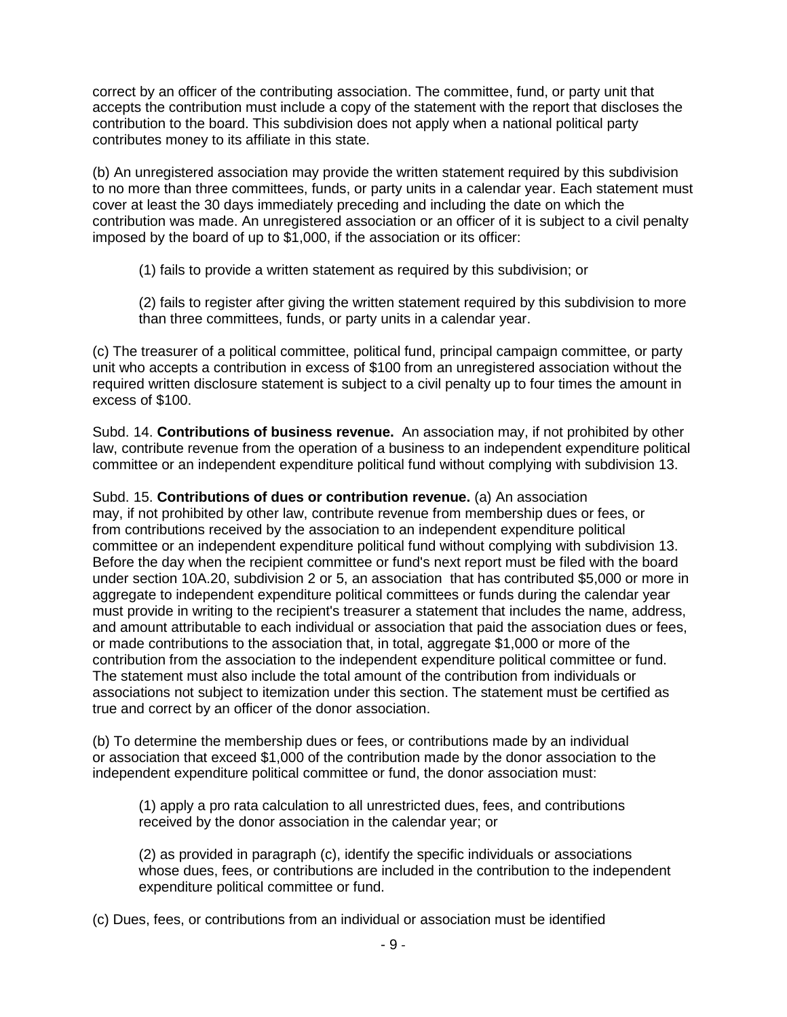correct by an officer of the contributing association. The committee, fund, or party unit that accepts the contribution must include a copy of the statement with the report that discloses the contribution to the board. This subdivision does not apply when a national political party contributes money to its affiliate in this state.

(b) An unregistered association may provide the written statement required by this subdivision to no more than three committees, funds, or party units in a calendar year. Each statement must cover at least the 30 days immediately preceding and including the date on which the contribution was made. An unregistered association or an officer of it is subject to a civil penalty imposed by the board of up to \$1,000, if the association or its officer:

(1) fails to provide a written statement as required by this subdivision; or

(2) fails to register after giving the written statement required by this subdivision to more than three committees, funds, or party units in a calendar year.

(c) The treasurer of a political committee, political fund, principal campaign committee, or party unit who accepts a contribution in excess of \$100 from an unregistered association without the required written disclosure statement is subject to a civil penalty up to four times the amount in excess of \$100.

Subd. 14. **Contributions of business revenue.** An association may, if not prohibited by other law, contribute revenue from the operation of a business to an independent expenditure political committee or an independent expenditure political fund without complying with subdivision 13.

Subd. 15. **Contributions of dues or contribution revenue.** (a) An association may, if not prohibited by other law, contribute revenue from membership dues or fees, or from contributions received by the association to an independent expenditure political committee or an independent expenditure political fund without complying with subdivision 13. Before the day when the recipient committee or fund's next report must be filed with the board under section 10A.20, subdivision 2 or 5, an association that has contributed \$5,000 or more in aggregate to independent expenditure political committees or funds during the calendar year must provide in writing to the recipient's treasurer a statement that includes the name, address, and amount attributable to each individual or association that paid the association dues or fees, or made contributions to the association that, in total, aggregate \$1,000 or more of the contribution from the association to the independent expenditure political committee or fund. The statement must also include the total amount of the contribution from individuals or associations not subject to itemization under this section. The statement must be certified as true and correct by an officer of the donor association.

(b) To determine the membership dues or fees, or contributions made by an individual or association that exceed \$1,000 of the contribution made by the donor association to the independent expenditure political committee or fund, the donor association must:

(1) apply a pro rata calculation to all unrestricted dues, fees, and contributions received by the donor association in the calendar year; or

(2) as provided in paragraph (c), identify the specific individuals or associations whose dues, fees, or contributions are included in the contribution to the independent expenditure political committee or fund.

(c) Dues, fees, or contributions from an individual or association must be identified